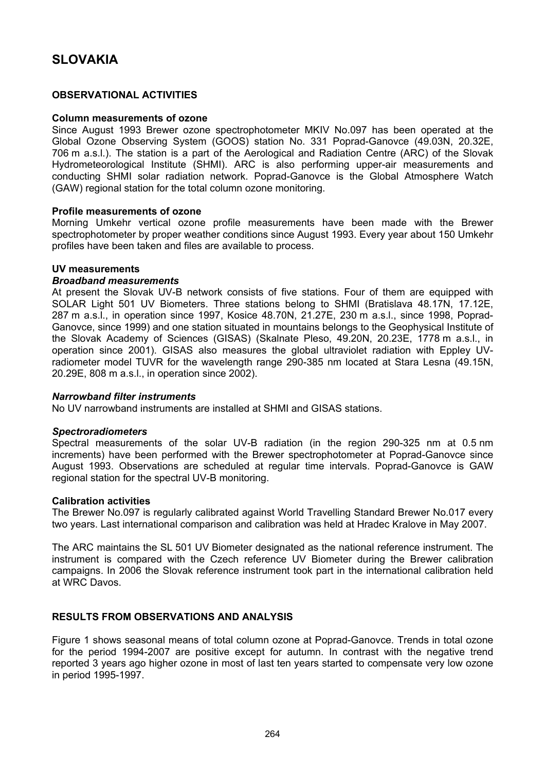# **SLOVAKIA**

## **OBSERVATIONAL ACTIVITIES**

### **Column measurements of ozone**

Since August 1993 Brewer ozone spectrophotometer MKIV No.097 has been operated at the Global Ozone Observing System (GOOS) station No. 331 Poprad-Ganovce (49.03N, 20.32E, 706 m a.s.l.). The station is a part of the Aerological and Radiation Centre (ARC) of the Slovak Hydrometeorological Institute (SHMI). ARC is also performing upper-air measurements and conducting SHMI solar radiation network. Poprad-Ganovce is the Global Atmosphere Watch (GAW) regional station for the total column ozone monitoring.

### **Profile measurements of ozone**

Morning Umkehr vertical ozone profile measurements have been made with the Brewer spectrophotometer by proper weather conditions since August 1993. Every year about 150 Umkehr profiles have been taken and files are available to process.

### **UV measurements**

## *Broadband measurements*

At present the Slovak UV-B network consists of five stations. Four of them are equipped with SOLAR Light 501 UV Biometers. Three stations belong to SHMI (Bratislava 48.17N, 17.12E, 287 m a.s.l., in operation since 1997, Kosice 48.70N, 21.27E, 230 m a.s.l., since 1998, Poprad-Ganovce, since 1999) and one station situated in mountains belongs to the Geophysical Institute of the Slovak Academy of Sciences (GISAS) (Skalnate Pleso, 49.20N, 20.23E, 1778 m a.s.l., in operation since 2001). GISAS also measures the global ultraviolet radiation with Eppley UVradiometer model TUVR for the wavelength range 290-385 nm located at Stara Lesna (49.15N, 20.29E, 808 m a.s.l., in operation since 2002).

### *Narrowband filter instruments*

No UV narrowband instruments are installed at SHMI and GISAS stations.

### *Spectroradiometers*

Spectral measurements of the solar UV-B radiation (in the region 290-325 nm at 0.5 nm increments) have been performed with the Brewer spectrophotometer at Poprad-Ganovce since August 1993. Observations are scheduled at regular time intervals. Poprad-Ganovce is GAW regional station for the spectral UV-B monitoring.

### **Calibration activities**

The Brewer No.097 is regularly calibrated against World Travelling Standard Brewer No.017 every two years. Last international comparison and calibration was held at Hradec Kralove in May 2007.

The ARC maintains the SL 501 UV Biometer designated as the national reference instrument. The instrument is compared with the Czech reference UV Biometer during the Brewer calibration campaigns. In 2006 the Slovak reference instrument took part in the international calibration held at WRC Davos.

# **RESULTS FROM OBSERVATIONS AND ANALYSIS**

Figure 1 shows seasonal means of total column ozone at Poprad-Ganovce. Trends in total ozone for the period 1994-2007 are positive except for autumn. In contrast with the negative trend reported 3 years ago higher ozone in most of last ten years started to compensate very low ozone in period 1995-1997.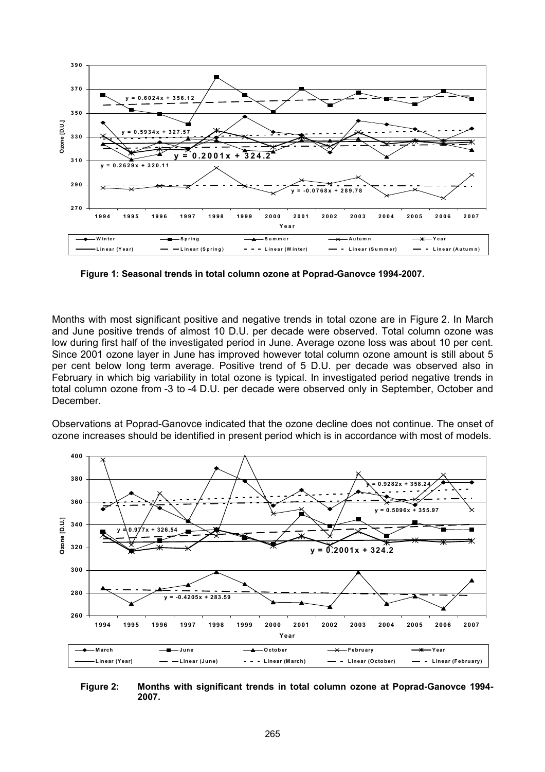

**Figure 1: Seasonal trends in total column ozone at Poprad-Ganovce 1994-2007.** 

Months with most significant positive and negative trends in total ozone are in Figure 2. In March and June positive trends of almost 10 D.U. per decade were observed. Total column ozone was low during first half of the investigated period in June. Average ozone loss was about 10 per cent. Since 2001 ozone layer in June has improved however total column ozone amount is still about 5 per cent below long term average. Positive trend of 5 D.U. per decade was observed also in February in which big variability in total ozone is typical. In investigated period negative trends in total column ozone from -3 to -4 D.U. per decade were observed only in September, October and December.

Observations at Poprad-Ganovce indicated that the ozone decline does not continue. The onset of ozone increases should be identified in present period which is in accordance with most of models.



**Figure 2: Months with significant trends in total column ozone at Poprad-Ganovce 1994- 2007.**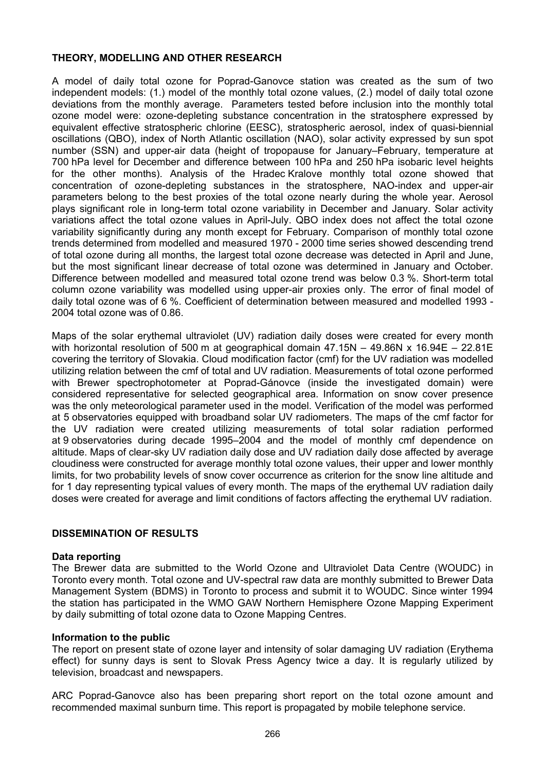# **THEORY, MODELLING AND OTHER RESEARCH**

A model of daily total ozone for Poprad-Ganovce station was created as the sum of two independent models: (1.) model of the monthly total ozone values, (2.) model of daily total ozone deviations from the monthly average. Parameters tested before inclusion into the monthly total ozone model were: ozone-depleting substance concentration in the stratosphere expressed by equivalent effective stratospheric chlorine (EESC), stratospheric aerosol, index of quasi-biennial oscillations (QBO), index of North Atlantic oscillation (NAO), solar activity expressed by sun spot number (SSN) and upper-air data (height of tropopause for January–February, temperature at 700 hPa level for December and difference between 100 hPa and 250 hPa isobaric level heights for the other months). Analysis of the Hradec Kralove monthly total ozone showed that concentration of ozone-depleting substances in the stratosphere, NAO-index and upper-air parameters belong to the best proxies of the total ozone nearly during the whole year. Aerosol plays significant role in long-term total ozone variability in December and January. Solar activity variations affect the total ozone values in April-July. QBO index does not affect the total ozone variability significantly during any month except for February. Comparison of monthly total ozone trends determined from modelled and measured 1970 - 2000 time series showed descending trend of total ozone during all months, the largest total ozone decrease was detected in April and June, but the most significant linear decrease of total ozone was determined in January and October. Difference between modelled and measured total ozone trend was below 0.3 %. Short-term total column ozone variability was modelled using upper-air proxies only. The error of final model of daily total ozone was of 6 %. Coefficient of determination between measured and modelled 1993 - 2004 total ozone was of 0.86.

Maps of the solar erythemal ultraviolet (UV) radiation daily doses were created for every month with horizontal resolution of 500 m at geographical domain  $47.15N - 49.86N \times 16.94E - 22.81E$ covering the territory of Slovakia. Cloud modification factor (cmf) for the UV radiation was modelled utilizing relation between the cmf of total and UV radiation. Measurements of total ozone performed with Brewer spectrophotometer at Poprad-Gánovce (inside the investigated domain) were considered representative for selected geographical area. Information on snow cover presence was the only meteorological parameter used in the model. Verification of the model was performed at 5 observatories equipped with broadband solar UV radiometers. The maps of the cmf factor for the UV radiation were created utilizing measurements of total solar radiation performed at 9 observatories during decade 1995–2004 and the model of monthly cmf dependence on altitude. Maps of clear-sky UV radiation daily dose and UV radiation daily dose affected by average cloudiness were constructed for average monthly total ozone values, their upper and lower monthly limits, for two probability levels of snow cover occurrence as criterion for the snow line altitude and for 1 day representing typical values of every month. The maps of the erythemal UV radiation daily doses were created for average and limit conditions of factors affecting the erythemal UV radiation.

# **DISSEMINATION OF RESULTS**

# **Data reporting**

The Brewer data are submitted to the World Ozone and Ultraviolet Data Centre (WOUDC) in Toronto every month. Total ozone and UV-spectral raw data are monthly submitted to Brewer Data Management System (BDMS) in Toronto to process and submit it to WOUDC. Since winter 1994 the station has participated in the WMO GAW Northern Hemisphere Ozone Mapping Experiment by daily submitting of total ozone data to Ozone Mapping Centres.

# **Information to the public**

The report on present state of ozone layer and intensity of solar damaging UV radiation (Erythema effect) for sunny days is sent to Slovak Press Agency twice a day. It is regularly utilized by television, broadcast and newspapers.

ARC Poprad-Ganovce also has been preparing short report on the total ozone amount and recommended maximal sunburn time. This report is propagated by mobile telephone service.